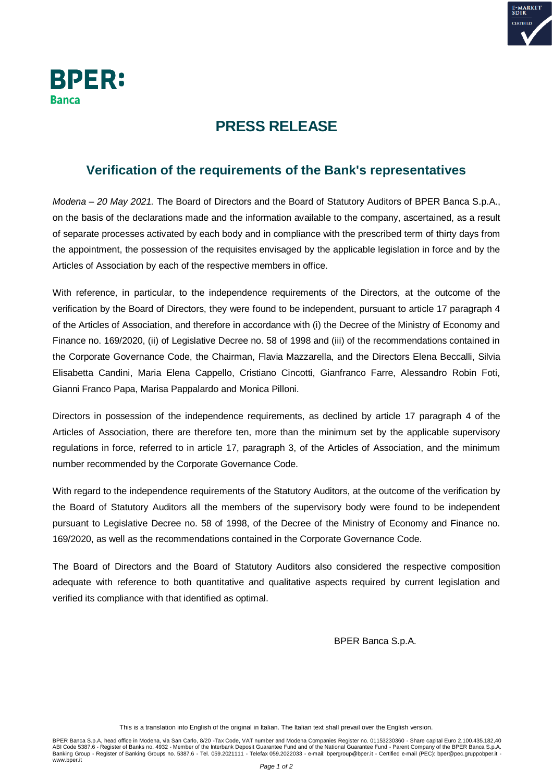



## **PRESS RELEASE**

## **Verification of the requirements of the Bank's representatives**

*Modena – 20 May 2021.* The Board of Directors and the Board of Statutory Auditors of BPER Banca S.p.A., on the basis of the declarations made and the information available to the company, ascertained, as a result of separate processes activated by each body and in compliance with the prescribed term of thirty days from the appointment, the possession of the requisites envisaged by the applicable legislation in force and by the Articles of Association by each of the respective members in office.

With reference, in particular, to the independence requirements of the Directors, at the outcome of the verification by the Board of Directors, they were found to be independent, pursuant to article 17 paragraph 4 of the Articles of Association, and therefore in accordance with (i) the Decree of the Ministry of Economy and Finance no. 169/2020, (ii) of Legislative Decree no. 58 of 1998 and (iii) of the recommendations contained in the Corporate Governance Code, the Chairman, Flavia Mazzarella, and the Directors Elena Beccalli, Silvia Elisabetta Candini, Maria Elena Cappello, Cristiano Cincotti, Gianfranco Farre, Alessandro Robin Foti, Gianni Franco Papa, Marisa Pappalardo and Monica Pilloni.

Directors in possession of the independence requirements, as declined by article 17 paragraph 4 of the Articles of Association, there are therefore ten, more than the minimum set by the applicable supervisory regulations in force, referred to in article 17, paragraph 3, of the Articles of Association, and the minimum number recommended by the Corporate Governance Code.

With regard to the independence requirements of the Statutory Auditors, at the outcome of the verification by the Board of Statutory Auditors all the members of the supervisory body were found to be independent pursuant to Legislative Decree no. 58 of 1998, of the Decree of the Ministry of Economy and Finance no. 169/2020, as well as the recommendations contained in the Corporate Governance Code.

The Board of Directors and the Board of Statutory Auditors also considered the respective composition adequate with reference to both quantitative and qualitative aspects required by current legislation and verified its compliance with that identified as optimal.

BPER Banca S.p.A.

This is a translation into English of the original in Italian. The Italian text shall prevail over the English version.